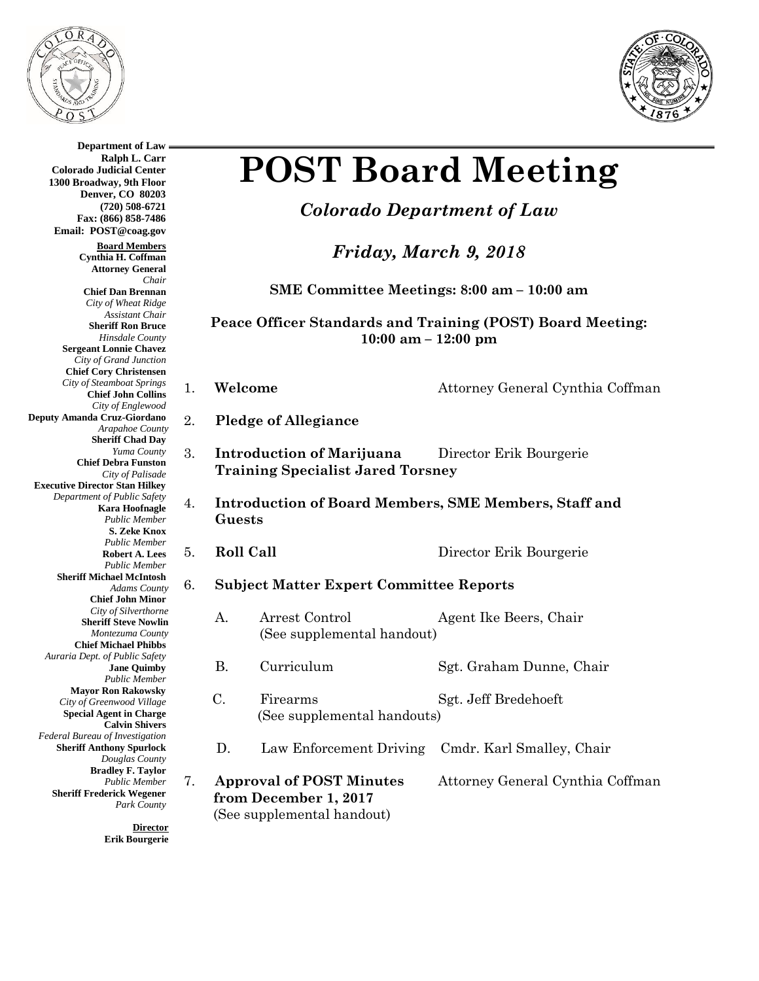

**Department of Law Ralph L. Carr**

**Colorado Judicial Center 1300 Broadway, 9th Floor**



# **POST Board Meeting**

## *Colorado Department of Law*

*Friday, March 9, 2018*

**SME Committee Meetings: 8:00 am – 10:00 am** 

#### **Peace Officer Standards and Training (POST) Board Meeting: 10:00 am – 12:00 pm**

1. **Welcome Attorney General Cynthia Coffman** 

- 2. **Pledge of Allegiance**
- 3. **Introduction of Marijuana** Director Erik Bourgerie **Training Specialist Jared Torsney**
- 4. **Introduction of Board Members, SME Members, Staff and Guests**
- 5. **Roll Call** Director Erik Bourgerie

#### 6. **Subject Matter Expert Committee Reports**

- A. Arrest Control Agent Ike Beers, Chair (See supplemental handout)
- B. Curriculum Sgt. Graham Dunne, Chair
- C. Firearms Sgt. Jeff Bredehoeft (See supplemental handouts)
- D. Law Enforcement Driving Cmdr. Karl Smalley, Chair
- 7. **Approval of POST Minutes** Attorney General Cynthia Coffman  **from December 1, 2017** (See supplemental handout)

**Denver, CO 80203 (720) 508-6721 Fax: (866) 858-7486 Email: POST@coag.gov Board Members Cynthia H. Coffman Attorney General** *Chair* **Chief Dan Brennan** *City of Wheat Ridge Assistant Chair* **Sheriff Ron Bruce** *Hinsdale County* **Sergeant Lonnie Chavez** *City of Grand Junction* **Chief Cory Christensen** *City of Steamboat Springs* **Chief John Collins** *City of Englewood* **Deputy Amanda Cruz-Giordano** *Arapahoe County* **Sheriff Chad Day** *Yuma County* **Chief Debra Funston** *City of Palisade* **Executive Director Stan Hilkey** *Department of Public Safety* **Kara Hoofnagle** *Public Member* **S. Zeke Knox** *Public Member* **Robert A. Lees** *Public Member* **Sheriff Michael McIntosh** *Adams County* **Chief John Minor** *City of Silverthorne* **Sheriff Steve Nowlin** *Montezuma County*  **Chief Michael Phibbs** *Auraria Dept. of Public Safety* **Jane Quimby** *Public Member* **Mayor Ron Rakowsky** *City of Greenwood Village* **Special Agent in Charge Calvin Shivers** *Federal Bureau of Investigation* **Sheriff Anthony Spurlock** *Douglas County* **Bradley F. Taylor** *Public Member* **Sheriff Frederick Wegener** *Park County*

> **Director Erik Bourgerie**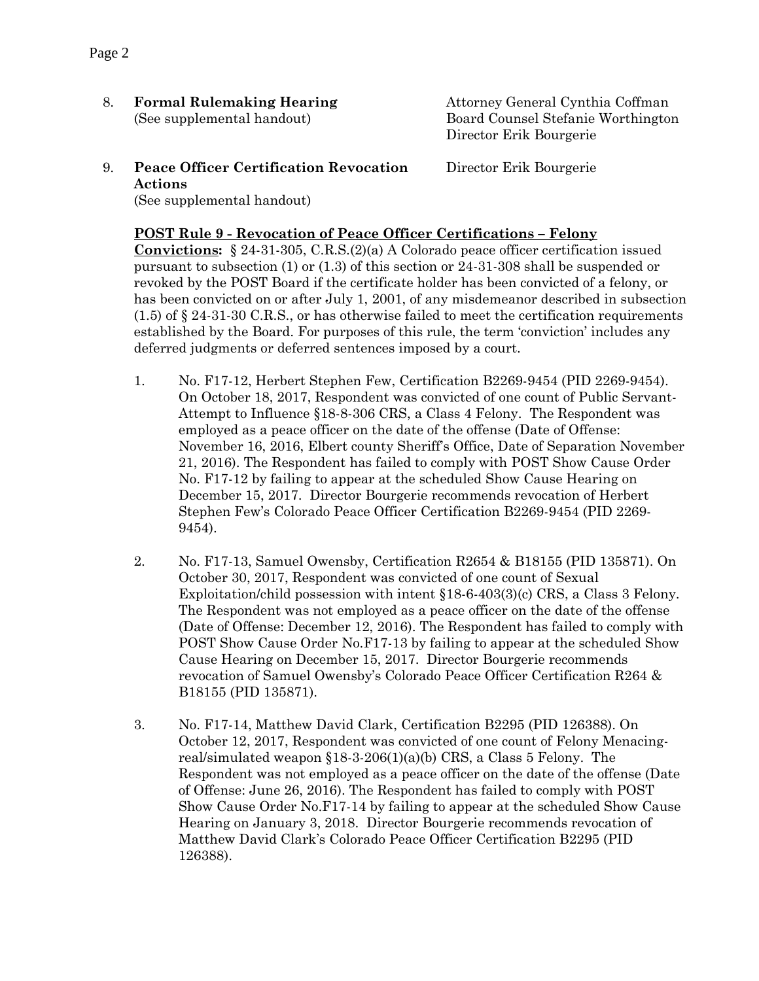8. **Formal Rulemaking Hearing** Attorney General Cynthia Coffman

(See supplemental handout)Board Counsel Stefanie Worthington Director Erik Bourgerie

9. **Peace Officer Certification Revocation** Director Erik Bourgerie **Actions**  (See supplemental handout)

#### **POST Rule 9 - Revocation of Peace Officer Certifications – Felony**

**Convictions:** § 24-31-305, C.R.S.(2)(a) A Colorado peace officer certification issued pursuant to subsection (1) or (1.3) of this section or 24-31-308 shall be suspended or revoked by the POST Board if the certificate holder has been convicted of a felony, or has been convicted on or after July 1, 2001, of any misdemeanor described in subsection  $(1.5)$  of § 24-31-30 C.R.S., or has otherwise failed to meet the certification requirements established by the Board. For purposes of this rule, the term 'conviction' includes any deferred judgments or deferred sentences imposed by a court.

- 1. No. F17-12, Herbert Stephen Few, Certification B2269-9454 (PID 2269-9454). On October 18, 2017, Respondent was convicted of one count of Public Servant-Attempt to Influence §18-8-306 CRS, a Class 4 Felony. The Respondent was employed as a peace officer on the date of the offense (Date of Offense: November 16, 2016, Elbert county Sheriff's Office, Date of Separation November 21, 2016). The Respondent has failed to comply with POST Show Cause Order No. F17-12 by failing to appear at the scheduled Show Cause Hearing on December 15, 2017. Director Bourgerie recommends revocation of Herbert Stephen Few's Colorado Peace Officer Certification B2269-9454 (PID 2269- 9454).
- 2. No. F17-13, Samuel Owensby, Certification R2654 & B18155 (PID 135871). On October 30, 2017, Respondent was convicted of one count of Sexual Exploitation/child possession with intent §18-6-403(3)(c) CRS, a Class 3 Felony. The Respondent was not employed as a peace officer on the date of the offense (Date of Offense: December 12, 2016). The Respondent has failed to comply with POST Show Cause Order No.F17-13 by failing to appear at the scheduled Show Cause Hearing on December 15, 2017. Director Bourgerie recommends revocation of Samuel Owensby's Colorado Peace Officer Certification R264 & B18155 (PID 135871).
- 3. No. F17-14, Matthew David Clark, Certification B2295 (PID 126388). On October 12, 2017, Respondent was convicted of one count of Felony Menacingreal/simulated weapon  $$18-3-206(1)(a)(b)$  CRS, a Class 5 Felony. The Respondent was not employed as a peace officer on the date of the offense (Date of Offense: June 26, 2016). The Respondent has failed to comply with POST Show Cause Order No.F17-14 by failing to appear at the scheduled Show Cause Hearing on January 3, 2018. Director Bourgerie recommends revocation of Matthew David Clark's Colorado Peace Officer Certification B2295 (PID 126388).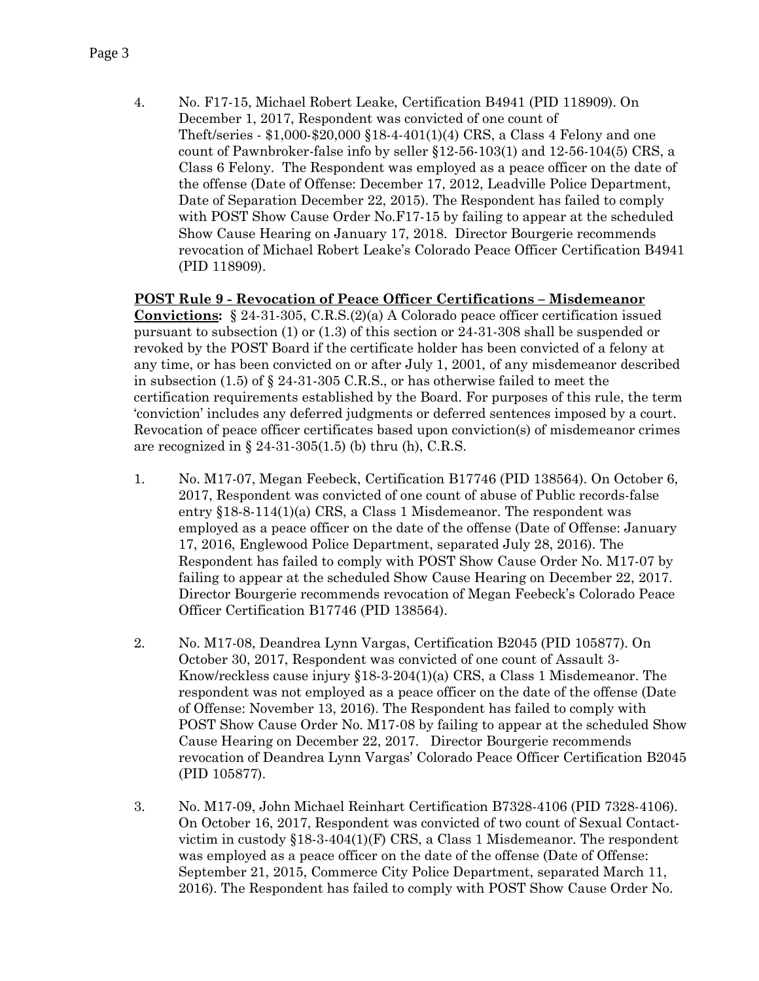4. No. F17-15, Michael Robert Leake, Certification B4941 (PID 118909). On December 1, 2017, Respondent was convicted of one count of Theft/series - \$1,000-\$20,000 §18-4-401(1)(4) CRS, a Class 4 Felony and one count of Pawnbroker-false info by seller §12-56-103(1) and 12-56-104(5) CRS, a Class 6 Felony. The Respondent was employed as a peace officer on the date of the offense (Date of Offense: December 17, 2012, Leadville Police Department, Date of Separation December 22, 2015). The Respondent has failed to comply with POST Show Cause Order No.F17-15 by failing to appear at the scheduled Show Cause Hearing on January 17, 2018. Director Bourgerie recommends revocation of Michael Robert Leake's Colorado Peace Officer Certification B4941 (PID 118909).

#### **POST Rule 9 - Revocation of Peace Officer Certifications – Misdemeanor**

**Convictions:** § 24-31-305, C.R.S.(2)(a) A Colorado peace officer certification issued pursuant to subsection (1) or (1.3) of this section or 24-31-308 shall be suspended or revoked by the POST Board if the certificate holder has been convicted of a felony at any time, or has been convicted on or after July 1, 2001, of any misdemeanor described in subsection  $(1.5)$  of § 24-31-305 C.R.S., or has otherwise failed to meet the certification requirements established by the Board. For purposes of this rule, the term 'conviction' includes any deferred judgments or deferred sentences imposed by a court. Revocation of peace officer certificates based upon conviction(s) of misdemeanor crimes are recognized in  $\S$  24-31-305(1.5) (b) thru (h), C.R.S.

- 1. No. M17-07, Megan Feebeck, Certification B17746 (PID 138564). On October 6, 2017, Respondent was convicted of one count of abuse of Public records-false entry §18-8-114(1)(a) CRS, a Class 1 Misdemeanor. The respondent was employed as a peace officer on the date of the offense (Date of Offense: January 17, 2016, Englewood Police Department, separated July 28, 2016). The Respondent has failed to comply with POST Show Cause Order No. M17-07 by failing to appear at the scheduled Show Cause Hearing on December 22, 2017. Director Bourgerie recommends revocation of Megan Feebeck's Colorado Peace Officer Certification B17746 (PID 138564).
- 2. No. M17-08, Deandrea Lynn Vargas, Certification B2045 (PID 105877). On October 30, 2017, Respondent was convicted of one count of Assault 3- Know/reckless cause injury §18-3-204(1)(a) CRS, a Class 1 Misdemeanor. The respondent was not employed as a peace officer on the date of the offense (Date of Offense: November 13, 2016). The Respondent has failed to comply with POST Show Cause Order No. M17-08 by failing to appear at the scheduled Show Cause Hearing on December 22, 2017. Director Bourgerie recommends revocation of Deandrea Lynn Vargas' Colorado Peace Officer Certification B2045 (PID 105877).
- 3. No. M17-09, John Michael Reinhart Certification B7328-4106 (PID 7328-4106). On October 16, 2017, Respondent was convicted of two count of Sexual Contactvictim in custody §18-3-404(1)(F) CRS, a Class 1 Misdemeanor. The respondent was employed as a peace officer on the date of the offense (Date of Offense: September 21, 2015, Commerce City Police Department, separated March 11, 2016). The Respondent has failed to comply with POST Show Cause Order No.